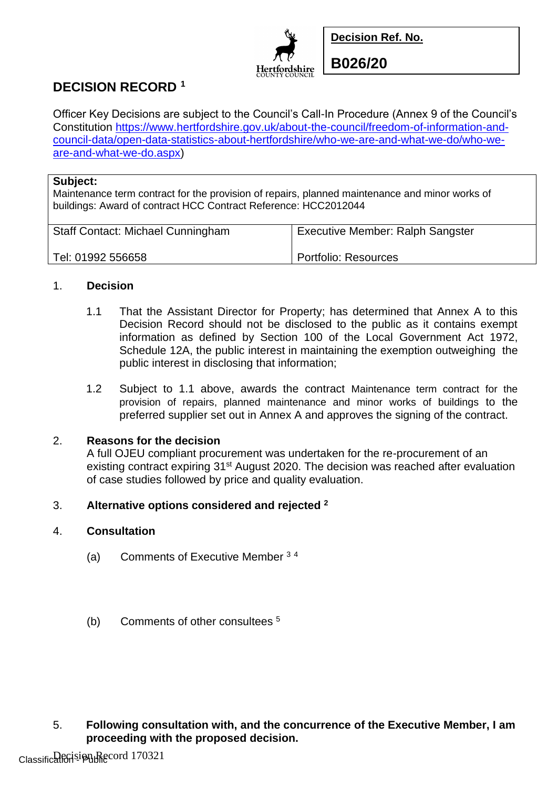

**Decision Ref. No.**

**DECISION RECORD <sup>1</sup>**

Officer Key Decisions are subject to the Council's Call-In Procedure (Annex 9 of the Council's Constitution [https://www.hertfordshire.gov.uk/about-the-council/freedom-of-information-and](https://www.hertfordshire.gov.uk/about-the-council/freedom-of-information-and-council-data/open-data-statistics-about-hertfordshire/who-we-are-and-what-we-do/who-we-are-and-what-we-do.aspx)[council-data/open-data-statistics-about-hertfordshire/who-we-are-and-what-we-do/who-we](https://www.hertfordshire.gov.uk/about-the-council/freedom-of-information-and-council-data/open-data-statistics-about-hertfordshire/who-we-are-and-what-we-do/who-we-are-and-what-we-do.aspx)[are-and-what-we-do.aspx\)](https://www.hertfordshire.gov.uk/about-the-council/freedom-of-information-and-council-data/open-data-statistics-about-hertfordshire/who-we-are-and-what-we-do/who-we-are-and-what-we-do.aspx)

### **Subject:**

Maintenance term contract for the provision of repairs, planned maintenance and minor works of buildings: Award of contract HCC Contract Reference: HCC2012044

| <b>Staff Contact: Michael Cunningham</b> | <b>Executive Member: Ralph Sangster</b> |
|------------------------------------------|-----------------------------------------|
| Tel: 01992 556658                        | Portfolio: Resources                    |

## 1. **Decision**

- 1.1 That the Assistant Director for Property; has determined that Annex A to this Decision Record should not be disclosed to the public as it contains exempt information as defined by Section 100 of the Local Government Act 1972, Schedule 12A, the public interest in maintaining the exemption outweighing the public interest in disclosing that information;
- 1.2 Subject to 1.1 above, awards the contract Maintenance term contract for the provision of repairs, planned maintenance and minor works of buildings to the preferred supplier set out in Annex A and approves the signing of the contract.

# 2. **Reasons for the decision**

A full OJEU compliant procurement was undertaken for the re-procurement of an existing contract expiring 31<sup>st</sup> August 2020. The decision was reached after evaluation of case studies followed by price and quality evaluation.

## 3. **Alternative options considered and rejected <sup>2</sup>**

## 4. **Consultation**

- (a) Comments of Executive Member <sup>3</sup> <sup>4</sup>
- (b) Comments of other consultees <sup>5</sup>

5. **Following consultation with, and the concurrence of the Executive Member, I am proceeding with the proposed decision.**